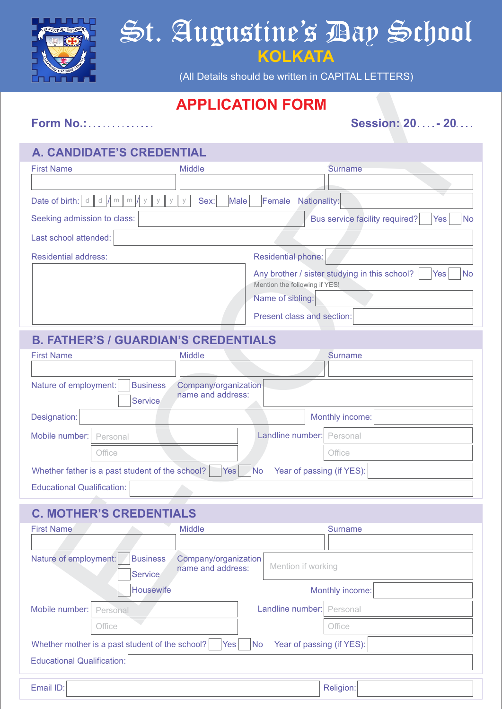

# St. Augustine's Day School **KOLKATA**

(All Details should be written in CAPITAL LETTERS)

## **APPLICATION FORM**

#### **A. CANDIDATE'S CREDENTIAL**

|                                                                                                         | <b>APPLICATION FORM</b>                                                                            |  |  |  |  |
|---------------------------------------------------------------------------------------------------------|----------------------------------------------------------------------------------------------------|--|--|--|--|
| <b>Form No.:</b>                                                                                        | <b>Session: 20 - 20</b>                                                                            |  |  |  |  |
| A. CANDIDATE'S CREDENTIAL                                                                               |                                                                                                    |  |  |  |  |
| <b>First Name</b><br><b>Middle</b>                                                                      | <b>Surname</b>                                                                                     |  |  |  |  |
|                                                                                                         |                                                                                                    |  |  |  |  |
| Date of birth: $d \parallel d \parallel m$<br>Nationality:<br>Sex:<br>Male<br>Female<br>m               |                                                                                                    |  |  |  |  |
| Seeking admission to class:<br>Bus service facility required?<br>Yes                                    |                                                                                                    |  |  |  |  |
| Last school attended:                                                                                   |                                                                                                    |  |  |  |  |
| <b>Residential address:</b>                                                                             | <b>Residential phone:</b>                                                                          |  |  |  |  |
|                                                                                                         | Any brother / sister studying in this school?<br><b>No</b><br>Yes<br>Mention the following if YES! |  |  |  |  |
|                                                                                                         | Name of sibling:                                                                                   |  |  |  |  |
|                                                                                                         | Present class and section:                                                                         |  |  |  |  |
| <b>B. FATHER'S / GUARDIAN'S CREDENTIALS</b>                                                             |                                                                                                    |  |  |  |  |
| <b>First Name</b><br><b>Middle</b>                                                                      | <b>Surname</b>                                                                                     |  |  |  |  |
|                                                                                                         |                                                                                                    |  |  |  |  |
| Company/organization<br><b>Business</b><br>Nature of employment:<br>name and address:<br><b>Service</b> |                                                                                                    |  |  |  |  |
| Designation:                                                                                            | Monthly income:                                                                                    |  |  |  |  |
| Mobile number:<br>Personal                                                                              | Landline number:<br>Personal                                                                       |  |  |  |  |
| Office                                                                                                  | Office                                                                                             |  |  |  |  |
| Whether father is a past student of the school?<br>Year of passing (if YES):<br>$Yes$ No                |                                                                                                    |  |  |  |  |
| <b>Educational Qualification:</b>                                                                       |                                                                                                    |  |  |  |  |
| <b>C. MOTHER'S CREDENTIALS</b>                                                                          |                                                                                                    |  |  |  |  |
| <b>First Name</b><br><b>Middle</b>                                                                      | <b>Surname</b>                                                                                     |  |  |  |  |
|                                                                                                         |                                                                                                    |  |  |  |  |
| Nature of employment:<br><b>Business</b><br>Company/organization<br>name and address:<br>Service        | Mention if working                                                                                 |  |  |  |  |
| Housewife                                                                                               | Monthly income:                                                                                    |  |  |  |  |
| Mobile number:<br>Personal                                                                              | Landline number: Personal                                                                          |  |  |  |  |
|                                                                                                         |                                                                                                    |  |  |  |  |

### **C. MOTHER'S CREDENTIALS**

| <b>First Name</b>                                                                                | <b>Middle</b>                             |                           | <b>Surname</b>  |  |
|--------------------------------------------------------------------------------------------------|-------------------------------------------|---------------------------|-----------------|--|
| Nature of employment:<br><b>Business</b><br><b>Service</b>                                       | Company/organization<br>name and address: | Mention if working        |                 |  |
| Housewife                                                                                        |                                           |                           | Monthly income: |  |
| Mobile number:<br>Personal                                                                       |                                           | Landline number: Personal |                 |  |
| Office                                                                                           |                                           |                           | Office          |  |
| Year of passing (if YES):<br>Whether mother is a past student of the school?<br>Yes<br><b>No</b> |                                           |                           |                 |  |
| Educational Qualification:                                                                       |                                           |                           |                 |  |
|                                                                                                  |                                           |                           |                 |  |

Email ID: **Religion:** Religion: **Religion: Product International Product International Religion:**